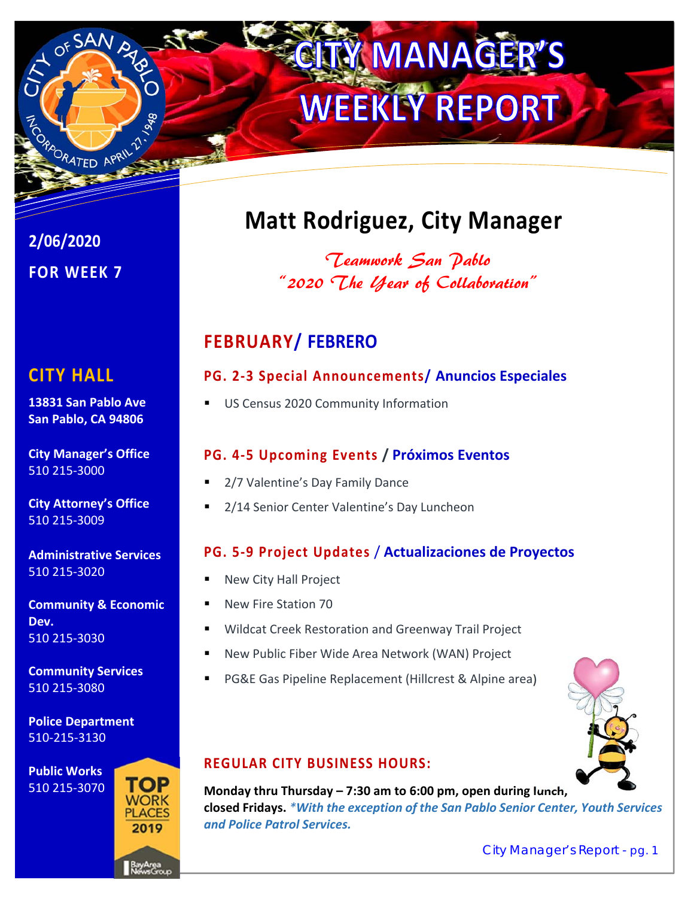# **TY MANAGER WEEKLY REPORT**

**2/06/2020 FOR WEEK 7** 

PRORATED APRIL 21

# **CITY HALL**

**13831 San Pablo Ave San Pablo, CA 94806** 

**City Manager's Office**  510 215‐3000

**City Attorney's Office**  510 215‐3009

**Administrative Services**  510 215‐3020

**Community & Economic Dev.**  510 215‐3030

**Community Services**  510 215‐3080

**Police Department**  510‐215‐3130

**Public Works**  510 215‐3070



# **Matt Rodriguez, City Manager**

Teamwork San Pablo "2020 The Year of Collaboration"

# **FEBRUARY/ FEBRERO**

### **PG. 2‐3 Special Announcements/ Anuncios Especiales**

US Census 2020 Community Information

### **PG. 4‐5 Upcoming Events / Próximos Eventos**

- 2/7 Valentine's Day Family Dance
- 2/14 Senior Center Valentine's Day Luncheon

### **PG. 5‐9 Project Updates** / **Actualizaciones de Proyectos**

- New City Hall Project
- New Fire Station 70
	- Wildcat Creek Restoration and Greenway Trail Project
	- New Public Fiber Wide Area Network (WAN) Project
	- PG&E Gas Pipeline Replacement (Hillcrest & Alpine area)



#### **REGULAR CITY BUSINESS HOURS:**

**Monday thru Thursday – 7:30 am to 6:00 pm, open during lunch, closed Fridays.** *\*With the exception of the San Pablo Senior Center, Youth Services and Police Patrol Services.*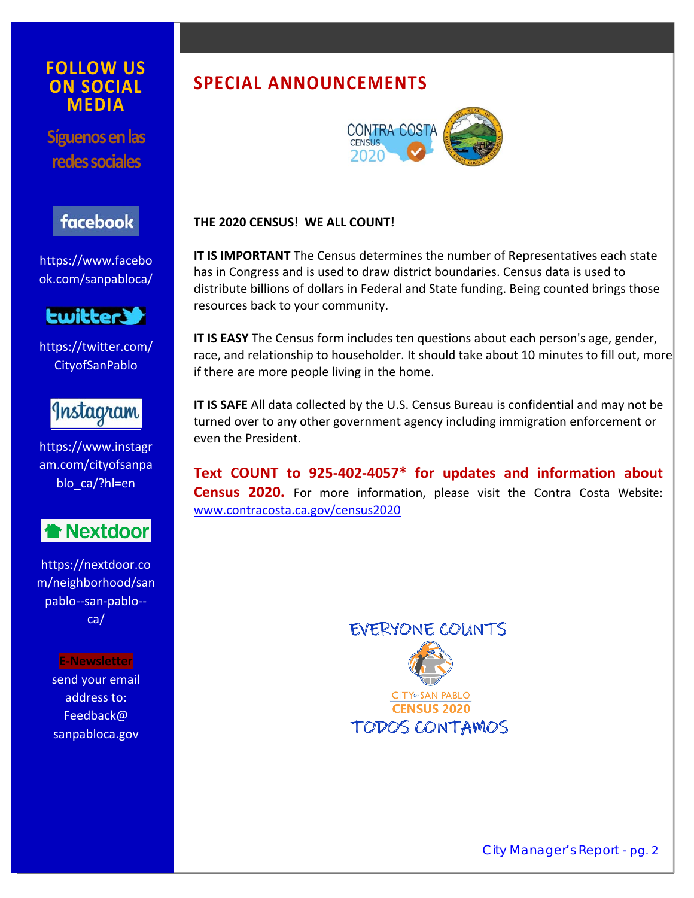#### **FOLLOW US ON SOCIAL MEDIA**

**Síguenos en las redes sociales** 

# facebook

https://www.facebo ok.com/sanpabloca/



https://twitter.com/ CityofSanPablo



https://www.instagr am.com/cityofsanpa blo\_ca/?hl=en



https://nextdoor.co m/neighborhood/san pablo--san-pablo-ca/

> **E‐Newsletter**  send your email address to: Feedback@ sanpabloca.gov

# **SPECIAL ANNOUNCEMENTS**



#### **THE 2020 CENSUS! WE ALL COUNT!**

**IT IS IMPORTANT** The Census determines the number of Representatives each state has in Congress and is used to draw district boundaries. Census data is used to distribute billions of dollars in Federal and State funding. Being counted brings those resources back to your community.

**IT IS EASY** The Census form includes ten questions about each person's age, gender, race, and relationship to householder. It should take about 10 minutes to fill out, more if there are more people living in the home.

**IT IS SAFE** All data collected by the U.S. Census Bureau is confidential and may not be turned over to any other government agency including immigration enforcement or even the President.

**Text COUNT to 925‐402‐4057\* for updates and information about Census 2020.** For more information, please visit the Contra Costa Website: www.contracosta.ca.gov/census2020

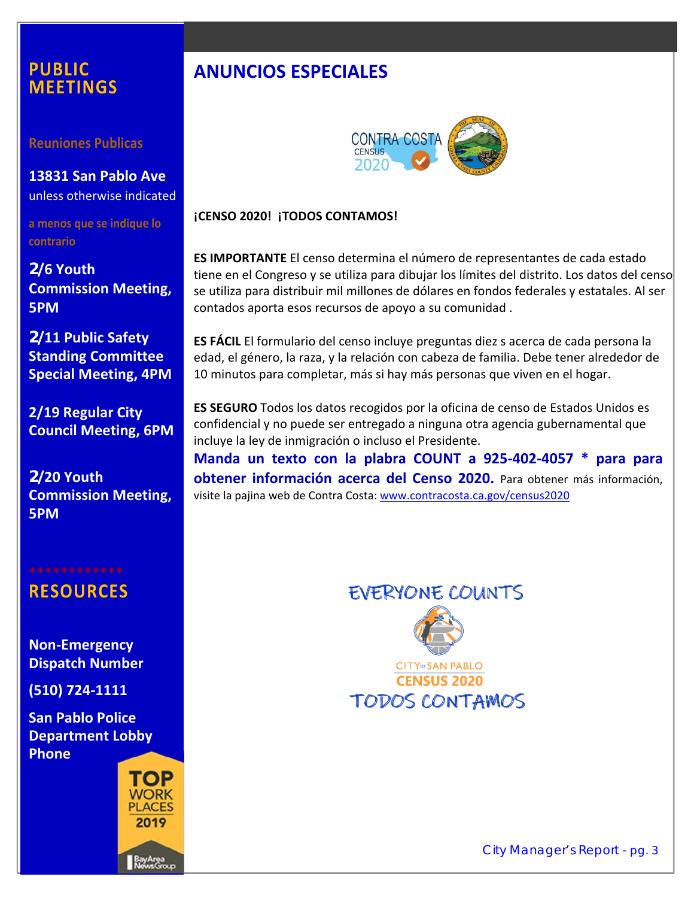### **PUBLIC MEETINGS**

**Reuniones Publicas** 

**13831 San Pablo Ave**  unless otherwise indicated

**a menos que se indique lo contrario** 

**2/6 Youth Commission Meeting, 5PM** 

**2/11 Public Safety Standing Committee Special Meeting, 4PM** 

**2/19 Regular City Council Meeting, 6PM** 

**2/20 Youth Commission Meeting, 5PM** 

# **RESOURCES**

**Non‐Emergency Dispatch Number** 

**(510) 724‐1111** 

**San Pablo Police Department Lobby Phone** 



# **ANUNCIOS ESPECIALES**



#### **¡CENSO 2020! ¡TODOS CONTAMOS!**

**ES IMPORTANTE** El censo determina el número de representantes de cada estado tiene en el Congreso y se utiliza para dibujar los límites del distrito. Los datos del censo se utiliza para distribuir mil millones de dólares en fondos federales y estatales. Al ser contados aporta esos recursos de apoyo a su comunidad .

**ES FÁCIL** El formulario del censo incluye preguntas diez s acerca de cada persona la edad, el género, la raza, y la relación con cabeza de familia. Debe tener alrededor de 10 minutos para completar, más si hay más personas que viven en el hogar.

**ES SEGURO** Todos los datos recogidos por la oficina de censo de Estados Unidos es confidencial y no puede ser entregado a ninguna otra agencia gubernamental que incluye la ley de inmigración o incluso el Presidente.

**Manda un texto con la plabra COUNT a 925‐402‐4057 \* para para obtener información acerca del Censo 2020.**  Para obtener más información, visite la pajina web de Contra Costa: www.contracosta.ca.gov/census2020





**CENSUS 2020 TODOS CONTAMOS**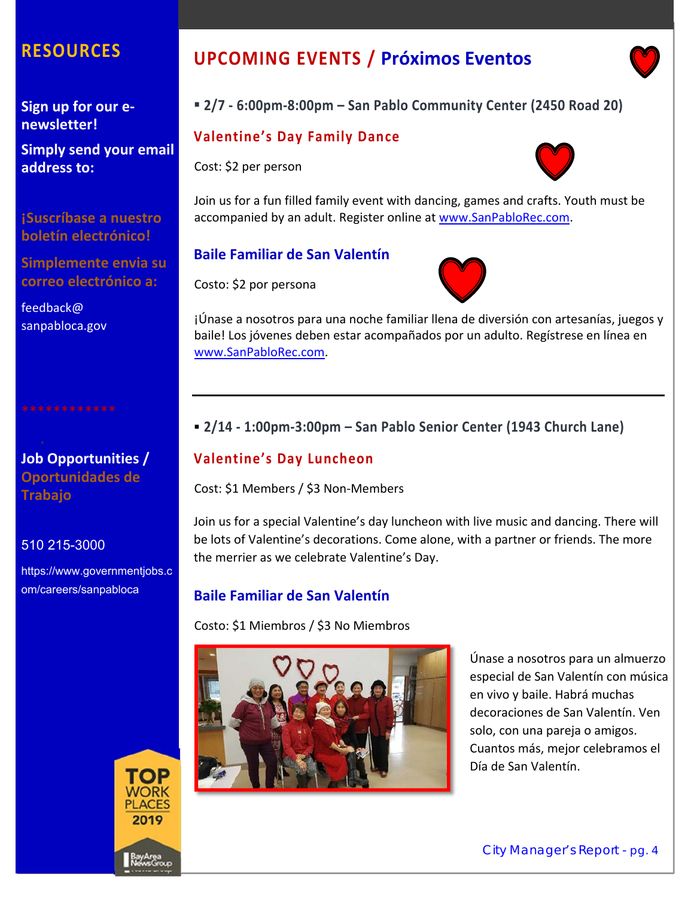# **RESOURCES**

**Sign up for our e‐ newsletter!** 

**Simply send your email address to:**

**¡Suscríbase a nuestro boletín electrónico!** 

**Simplemente envia su correo electrónico a:** 

feedback@ sanpabloca.gov

**Job Opportunities / Oportunidades de Trabajo** 

#### 510 215-3000

https://www.governmentjobs.c om/careers/sanpabloca



# **UPCOMING EVENTS / Próximos Eventos**

#### **2/7 ‐ 6:00pm‐8:00pm – San Pablo Community Center (2450 Road 20)**

#### **Valentine's Day Family Dance**

Cost: \$2 per person



Join us for a fun filled family event with dancing, games and crafts. Youth must be accompanied by an adult. Register online at www.SanPabloRec.com.

#### **Baile Familiar de San Valentín**

Costo: \$2 por persona



¡Únase a nosotros para una noche familiar llena de diversión con artesanías, juegos y baile! Los jóvenes deben estar acompañados por un adulto. Regístrese en línea en www.SanPabloRec.com.

#### **2/14 ‐ 1:00pm‐3:00pm – San Pablo Senior Center (1943 Church Lane)**

#### **Valentine's Day Luncheon**

Cost: \$1 Members / \$3 Non‐Members

Join us for a special Valentine's day luncheon with live music and dancing. There will be lots of Valentine's decorations. Come alone, with a partner or friends. The more the merrier as we celebrate Valentine's Day.

#### **Baile Familiar de San Valentín**

Costo: \$1 Miembros / \$3 No Miembros



Únase a nosotros para un almuerzo especial de San Valentín con música en vivo y baile. Habrá muchas decoraciones de San Valentín. Ven solo, con una pareja o amigos. Cuantos más, mejor celebramos el Día de San Valentín.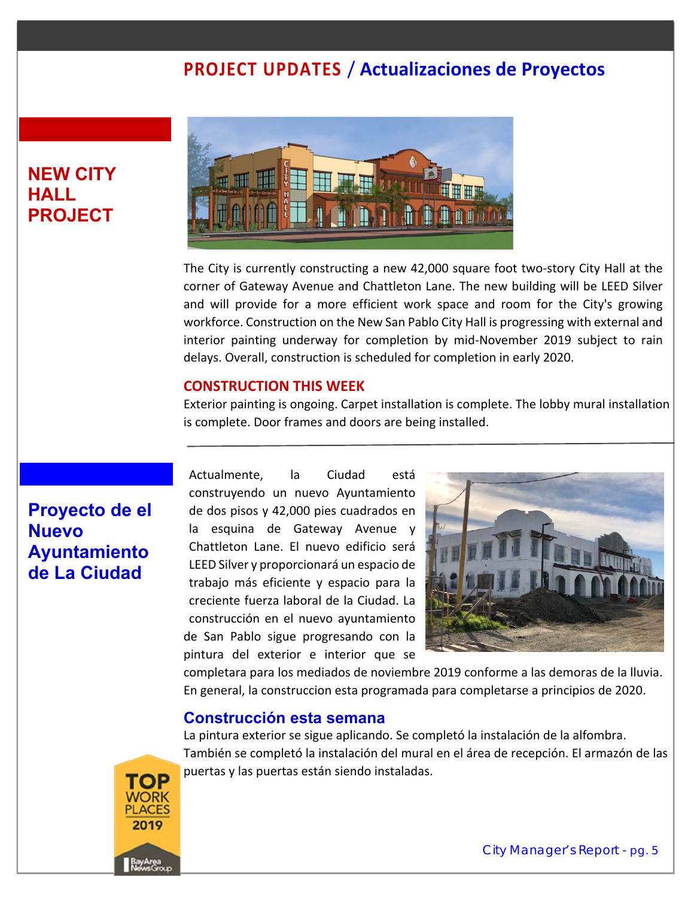## **NEW CITY HALL PROJECT**



The City is currently constructing a new 42,000 square foot two‐story City Hall at the corner of Gateway Avenue and Chattleton Lane. The new building will be LEED Silver and will provide for a more efficient work space and room for the City's growing workforce. Construction on the New San Pablo City Hall is progressing with external and interior painting underway for completion by mid‐November 2019 subject to rain delays. Overall, construction is scheduled for completion in early 2020.

#### **CONSTRUCTION THIS WEEK**

Exterior painting is ongoing. Carpet installation is complete. The lobby mural installation is complete. Door frames and doors are being installed.

# **Proyecto de el Nuevo Ayuntamiento de La Ciudad**

Actualmente, la Ciudad está construyendo un nuevo Ayuntamiento de dos pisos y 42,000 pies cuadrados en la esquina de Gateway Avenue y Chattleton Lane. El nuevo edificio será LEED Silver y proporcionará un espacio de trabajo más eficiente y espacio para la creciente fuerza laboral de la Ciudad. La construcción en el nuevo ayuntamiento de San Pablo sigue progresando con la pintura del exterior e interior que se



completara para los mediados de noviembre 2019 conforme a las demoras de la lluvia. En general, la construccion esta programada para completarse a principios de 2020.

#### **Construcción esta semana**

La pintura exterior se sigue aplicando. Se completó la instalación de la alfombra. También se completó la instalación del mural en el área de recepción. El armazón de las puertas y las puertas están siendo instaladas.

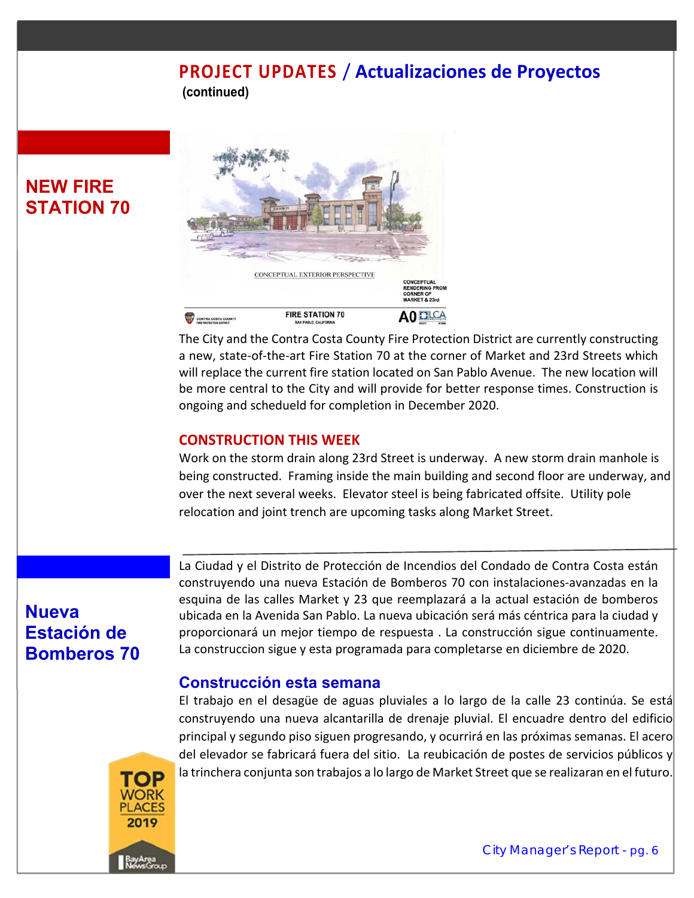**(continued)**

# **NEW FIRE STATION 70**



The City and the Contra Costa County Fire Protection District are currently constructing a new, state‐of‐the‐art Fire Station 70 at the corner of Market and 23rd Streets which will replace the current fire station located on San Pablo Avenue. The new location will be more central to the City and will provide for better response times. Construction is ongoing and schedueld for completion in December 2020.

#### **CONSTRUCTION THIS WEEK**

Work on the storm drain along 23rd Street is underway. A new storm drain manhole is being constructed. Framing inside the main building and second floor are underway, and over the next several weeks. Elevator steel is being fabricated offsite. Utility pole relocation and joint trench are upcoming tasks along Market Street.

# **Nueva Estación de Bomberos 70**

La Ciudad y el Distrito de Protección de Incendios del Condado de Contra Costa están construyendo una nueva Estación de Bomberos 70 con instalaciones‐avanzadas en la esquina de las calles Market y 23 que reemplazará a la actual estación de bomberos ubicada en la Avenida San Pablo. La nueva ubicación será más céntrica para la ciudad y proporcionará un mejor tiempo de respuesta . La construcción sigue continuamente. La construccion sigue y esta programada para completarse en diciembre de 2020.

#### **Construcción esta semana**

El trabajo en el desagüe de aguas pluviales a lo largo de la calle 23 continúa. Se está construyendo una nueva alcantarilla de drenaje pluvial. El encuadre dentro del edificio principal y segundo piso siguen progresando, y ocurrirá en las próximas semanas. El acero del elevador se fabricará fuera del sitio. La reubicación de postes de servicios públicos y la trinchera conjunta son trabajos a lo largo de Market Street que se realizaran en el futuro.

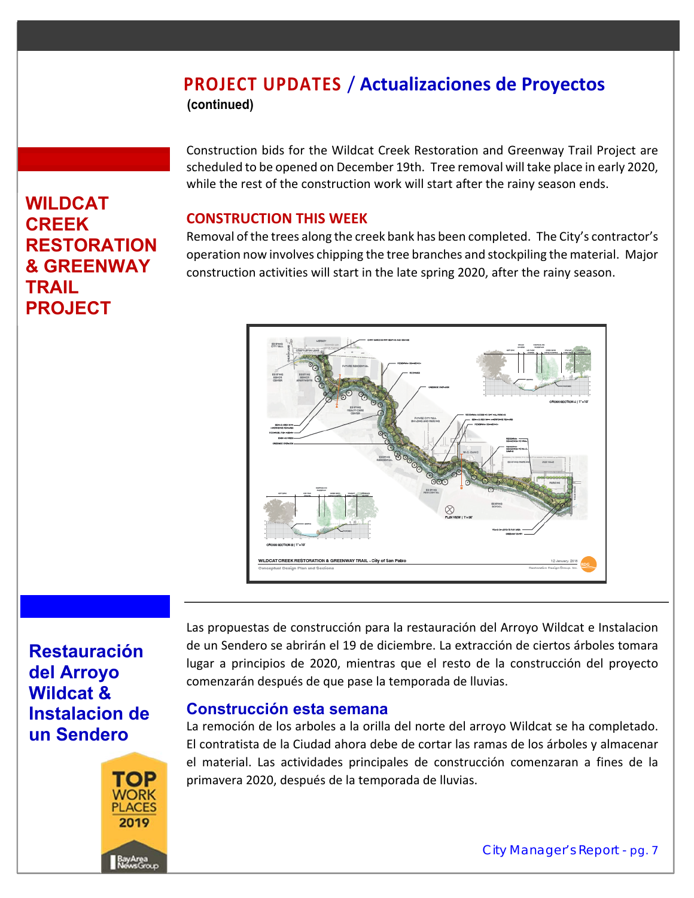**(continued)**

Construction bids for the Wildcat Creek Restoration and Greenway Trail Project are scheduled to be opened on December 19th. Tree removal will take place in early 2020, while the rest of the construction work will start after the rainy season ends.

#### **CONSTRUCTION THIS WEEK**

Removal of the trees along the creek bank has been completed. The City's contractor's operation now involves chipping the tree branches and stockpiling the material. Major construction activities will start in the late spring 2020, after the rainy season.



# **Restauración del Arroyo Wildcat & Instalacion de un Sendero**

**WILDCAT CREEK** 

**TRAIL** 

**PROJECT** 

**RESTORATION & GREENWAY** 



Las propuestas de construcción para la restauración del Arroyo Wildcat e Instalacion de un Sendero se abrirán el 19 de diciembre. La extracción de ciertos árboles tomara lugar a principios de 2020, mientras que el resto de la construcción del proyecto comenzarán después de que pase la temporada de lluvias.

#### **Construcción esta semana**

La remoción de los arboles a la orilla del norte del arroyo Wildcat se ha completado. El contratista de la Ciudad ahora debe de cortar las ramas de los árboles y almacenar el material. Las actividades principales de construcción comenzaran a fines de la primavera 2020, después de la temporada de lluvias.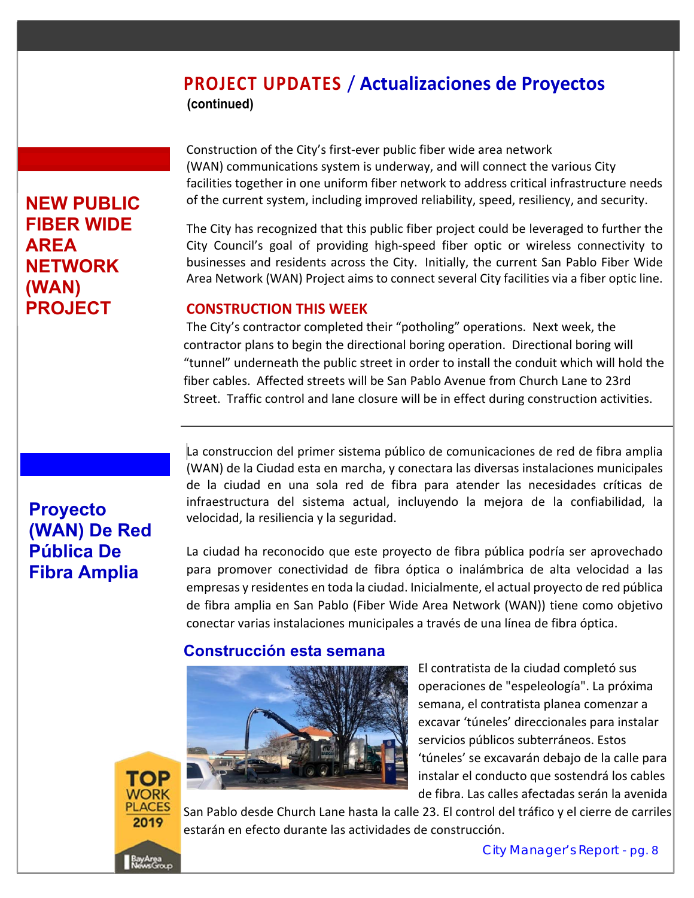**(continued)**

Construction of the City's first‐ever public fiber wide area network (WAN) communications system is underway, and will connect the various City facilities together in one uniform fiber network to address critical infrastructure needs of the current system, including improved reliability, speed, resiliency, and security.

The City has recognized that this public fiber project could be leveraged to further the City Council's goal of providing high-speed fiber optic or wireless connectivity to businesses and residents across the City. Initially, the current San Pablo Fiber Wide Area Network (WAN) Project aims to connect several City facilities via a fiber optic line.

#### **CONSTRUCTION THIS WEEK**

The City's contractor completed their "potholing" operations. Next week, the contractor plans to begin the directional boring operation. Directional boring will "tunnel" underneath the public street in order to install the conduit which will hold the fiber cables. Affected streets will be San Pablo Avenue from Church Lane to 23rd Street. Traffic control and lane closure will be in effect during construction activities.

# **Proyecto (WAN) De Red Pública De Fibra Amplia**

**NEW PUBLIC FIBER WIDE** 

**NETWORK** 

**PROJECT** 

**AREA** 

**(WAN)** 

La construccion del primer sistema público de comunicaciones de red de fibra amplia (WAN) de la Ciudad esta en marcha, y conectara las diversas instalaciones municipales de la ciudad en una sola red de fibra para atender las necesidades críticas de infraestructura del sistema actual, incluyendo la mejora de la confiabilidad, la velocidad, la resiliencia y la seguridad.

La ciudad ha reconocido que este proyecto de fibra pública podría ser aprovechado para promover conectividad de fibra óptica o inalámbrica de alta velocidad a las empresas y residentes en toda la ciudad. Inicialmente, el actual proyecto de red pública de fibra amplia en San Pablo (Fiber Wide Area Network (WAN)) tiene como objetivo conectar varias instalaciones municipales a través de una línea de fibra óptica.

#### **Construcción esta semana**



El contratista de la ciudad completó sus operaciones de "espeleología". La próxima semana, el contratista planea comenzar a excavar 'túneles' direccionales para instalar servicios públicos subterráneos. Estos 'túneles' se excavarán debajo de la calle para instalar el conducto que sostendrá los cables de fibra. Las calles afectadas serán la avenida



San Pablo desde Church Lane hasta la calle 23. El control del tráfico y el cierre de carriles estarán en efecto durante las actividades de construcción.